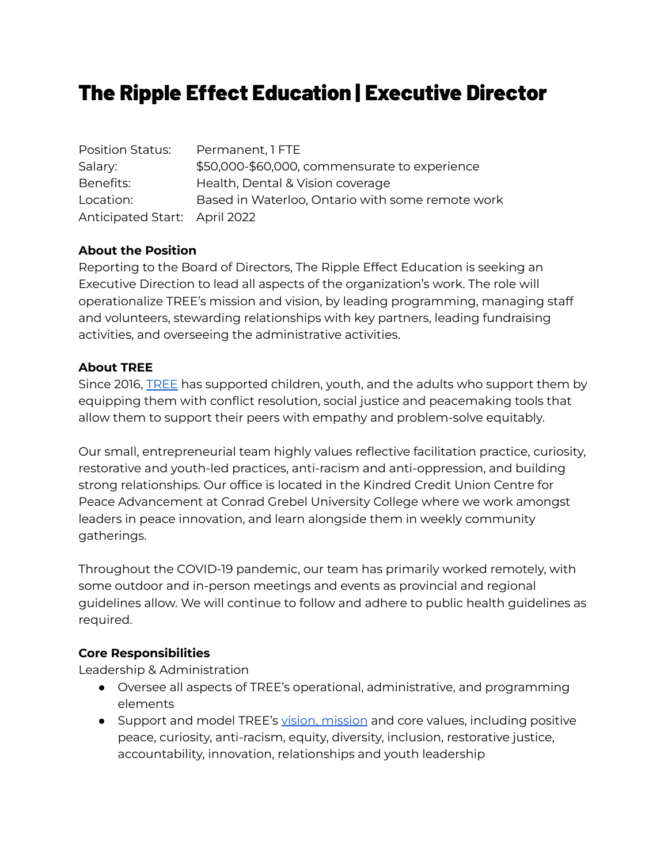# The Ripple Effect Education | Executive Director

Position Status: Permanent, 1 FTE Salary: \$50,000-\$60,000, commensurate to experience Benefits: Health, Dental & Vision coverage Location: Based in Waterloo, Ontario with some remote work Anticipated Start: April 2022

#### **About the Position**

Reporting to the Board of Directors, The Ripple Effect Education is seeking an Executive Direction to lead all aspects of the organization's work. The role will operationalize TREE's mission and vision, by leading programming, managing staff and volunteers, stewarding relationships with key partners, leading fundraising activities, and overseeing the administrative activities.

#### **About TREE**

Since 2016, [TREE](https://therippleeffecteducation.ca/) has supported children, youth, and the adults who support them by equipping them with conflict resolution, social justice and peacemaking tools that allow them to support their peers with empathy and problem-solve equitably.

Our small, entrepreneurial team highly values reflective facilitation practice, curiosity, restorative and youth-led practices, anti-racism and anti-oppression, and building strong relationships. Our office is located in the Kindred Credit Union Centre for Peace Advancement at Conrad Grebel University College where we work amongst leaders in peace innovation, and learn alongside them in weekly community gatherings.

Throughout the COVID-19 pandemic, our team has primarily worked remotely, with some outdoor and in-person meetings and events as provincial and regional guidelines allow. We will continue to follow and adhere to public health guidelines as required.

#### **Core Responsibilities**

Leadership & Administration

- Oversee all aspects of TREE's operational, administrative, and programming elements
- Support and model TREE's vision, [mission](https://therippleeffecteducation.ca/about/) and core values, including positive peace, curiosity, anti-racism, equity, diversity, inclusion, restorative justice, accountability, innovation, relationships and youth leadership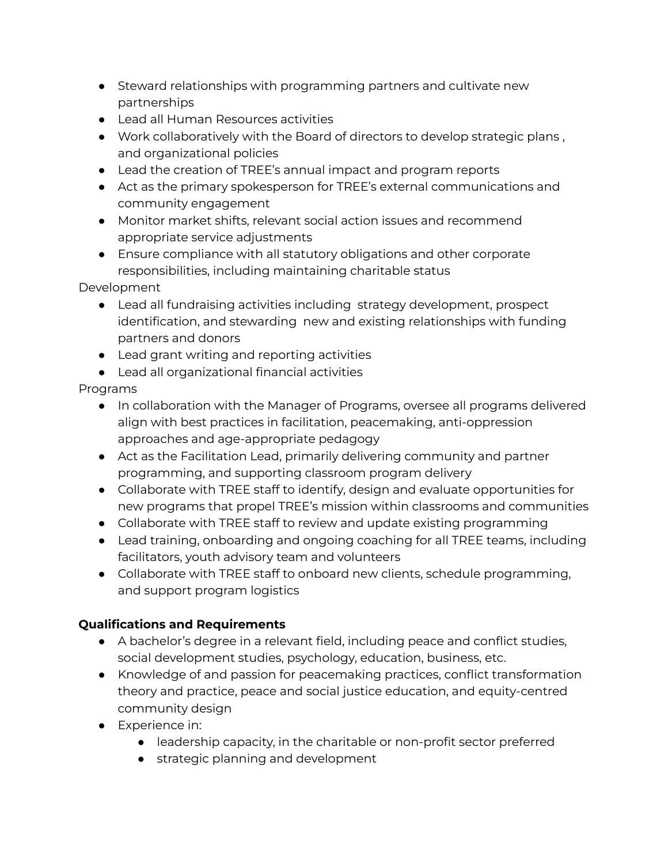- Steward relationships with programming partners and cultivate new partnerships
- Lead all Human Resources activities
- Work collaboratively with the Board of directors to develop strategic plans , and organizational policies
- Lead the creation of TREE's annual impact and program reports
- Act as the primary spokesperson for TREE's external communications and community engagement
- Monitor market shifts, relevant social action issues and recommend appropriate service adjustments
- Ensure compliance with all statutory obligations and other corporate responsibilities, including maintaining charitable status

Development

- Lead all fundraising activities including strategy development, prospect identification, and stewarding new and existing relationships with funding partners and donors
- Lead grant writing and reporting activities
- Lead all organizational financial activities

## Programs

- In collaboration with the Manager of Programs, oversee all programs delivered align with best practices in facilitation, peacemaking, anti-oppression approaches and age-appropriate pedagogy
- Act as the Facilitation Lead, primarily delivering community and partner programming, and supporting classroom program delivery
- Collaborate with TREE staff to identify, design and evaluate opportunities for new programs that propel TREE's mission within classrooms and communities
- Collaborate with TREE staff to review and update existing programming
- Lead training, onboarding and ongoing coaching for all TREE teams, including facilitators, youth advisory team and volunteers
- Collaborate with TREE staff to onboard new clients, schedule programming, and support program logistics

## **Qualifications and Requirements**

- A bachelor's degree in a relevant field, including peace and conflict studies, social development studies, psychology, education, business, etc.
- Knowledge of and passion for peacemaking practices, conflict transformation theory and practice, peace and social justice education, and equity-centred community design
- Experience in:
	- leadership capacity, in the charitable or non-profit sector preferred
	- strategic planning and development